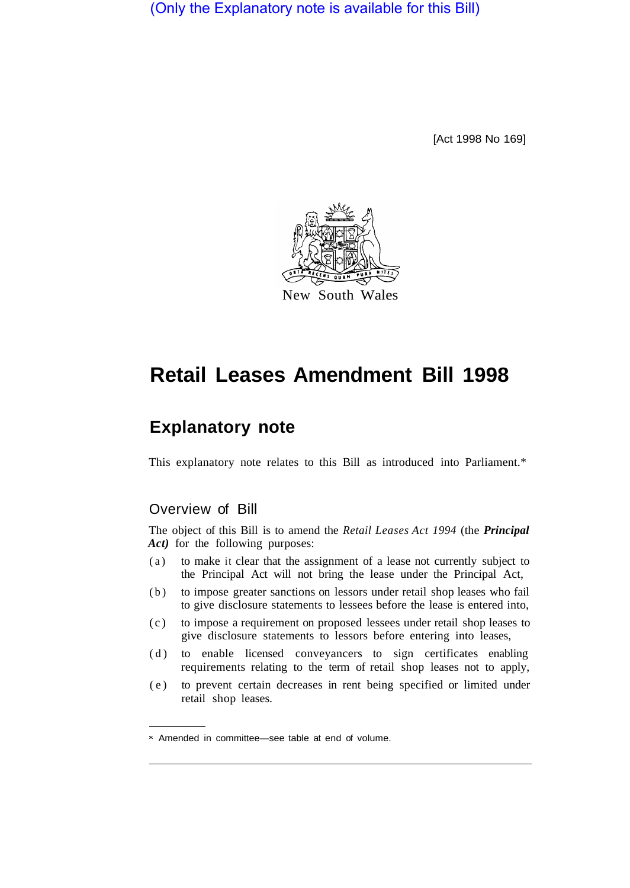(Only the Explanatory note is available for this Bill)

[Act 1998 No 169]



# **Retail Leases Amendment Bill 1998**

## **Explanatory note**

This explanatory note relates to this Bill as introduced into Parliament.\*

## Overview of Bill

The object of this Bill is to amend the *Retail Leases Act 1994* (the *Principal*  Act) for the following purposes:

- (a) to make it clear that the assignment of a lease not currently subject to the Principal Act will not bring the lease under the Principal Act,
- (b) to impose greater sanctions on lessors under retail shop leases who fail to give disclosure statements to lessees before the lease is entered into,
- (c) to impose a requirement on proposed lessees under retail shop leases to give disclosure statements to lessors before entering into leases,
- (d) to enable licensed conveyancers to sign certificates enabling requirements relating to the term of retail shop leases not to apply,
- (e) to prevent certain decreases in rent being specified or limited under retail shop leases.

Amended in committee—see table at end of volume.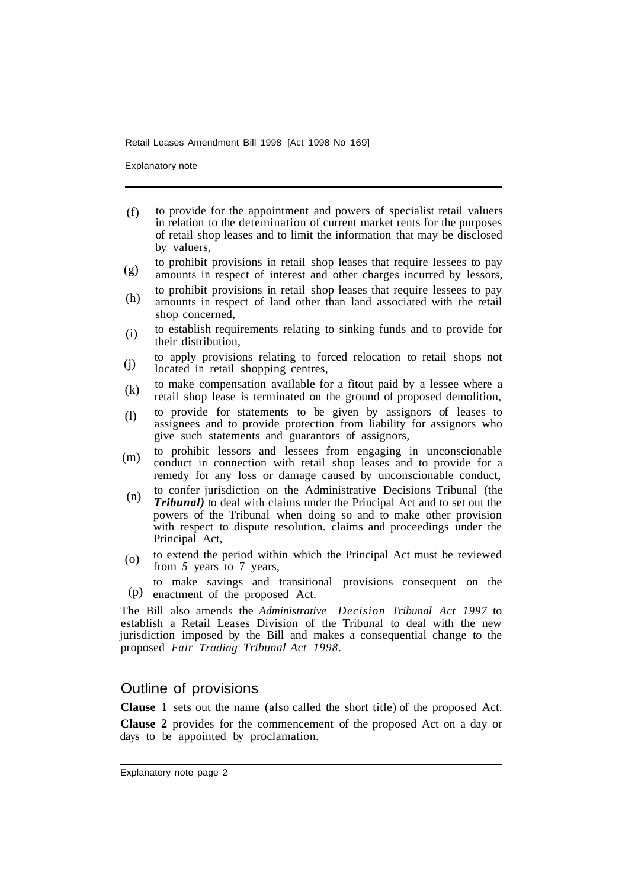Explanatory note

- to provide for the appointment and powers of specialist retail valuers in relation to the detemination of current market rents for the purposes of retail shop leases and to limit the information that may be disclosed by valuers, (f)
- to prohibit provisions in retail shop leases that require lessees to pay amounts in respect of interest and other charges incurred by lessors, (g)
- to prohibit provisions in retail shop leases that require lessees to pay amounts in respect of land other than land associated with the retail shop concerned, (h)
- to establish requirements relating to sinking funds and to provide for their distribution, (i)
- to apply provisions relating to forced relocation to retail shops not located in retail shopping centres,  $(i)$
- to make compensation available for a fitout paid by a lessee where a retail shop lease is terminated on the ground of proposed demolition, (k)
- to provide for statements to be given by assignors of leases to assignees and to provide protection from liability for assignors who give such statements and guarantors of assignors, (l)
- to prohibit lessors and lessees from engaging in unconscionable conduct in connection with retail shop leases and to provide for a remedy for any loss or damage caused by unconscionable conduct, (m)
- to confer jurisdiction on the Administrative Decisions Tribunal (the *Tribunal)* to deal with claims under the Principal Act and to set out the powers of the Tribunal when doing so and to make other provision with respect to dispute resolution. claims and proceedings under the Principal Act, (n)
- to extend the period within which the Principal Act must be reviewed from 5 years to 7 years, (o)
- to make savings and transitional provisions consequent on the  $(p)$  enactment of the proposed Act.

The Bill also amends the *Administrative Decision Tribunal Act 1997* to establish a Retail Leases Division of the Tribunal to deal with the new jurisdiction imposed by the Bill and makes a consequential change to the proposed *Fair Trading Tribunal Act 1998.* 

## Outline of provisions

**Clause 1** sets out the name (also called the short title) of the proposed Act.

**Clause 2** provides for the commencement of the proposed Act on a day or days to be appointed by proclamation.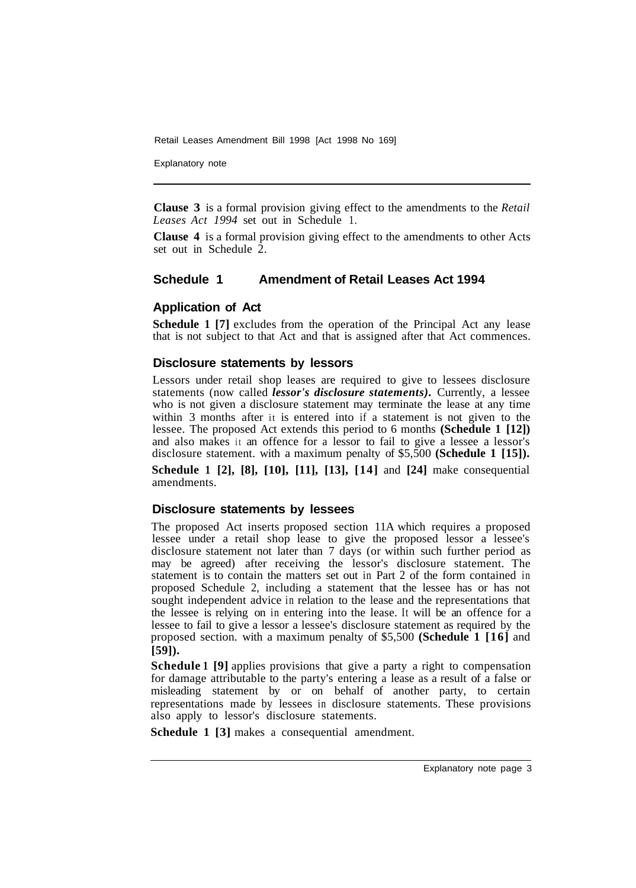Explanatory note

**Clause 3** is a formal provision giving effect to the amendments to the *Retail Leases Act 1994* set out in Schedule 1.

**Clause 4** is a formal provision giving effect to the amendments to other Acts set out in Schedule 2.

## **Schedule 1 Amendment of Retail Leases Act 1994**

## **Application of Act**

**Schedule 1 [7]** excludes from the operation of the Principal Act any lease that is not subject to that Act and that is assigned after that Act commences.

#### **Disclosure statements by lessors**

Lessors under retail shop leases are required to give to lessees disclosure statements (now called *lessor's disclosure statements).* Currently, a lessee who is not given a disclosure statement may terminate the lease at any time within 3 months after it is entered into if a statement is not given to the lessee. The proposed Act extends this period to 6 months **(Schedule 1 [12])**  and also makes it an offence for a lessor to fail to give a lessee a lessor's disclosure statement. with a maximum penalty of \$5,500 **(Schedule 1 [15]).** 

**Schedule 1 [2], [8], [10], [11], [13], [14]** and **[24]** make consequential amendments.

#### **Disclosure statements by lessees**

The proposed Act inserts proposed section 11A which requires a proposed lessee under a retail shop lease to give the proposed lessor a lessee's disclosure statement not later than 7 days (or within such further period as may be agreed) after receiving the lessor's disclosure statement. The statement is to contain the matters set out in Part 2 of the form contained in proposed Schedule 2, including a statement that the lessee has or has not sought independent advice in relation to the lease and the representations that the lessee is relying on in entering into the lease. It will be an offence for a lessee to fail to give a lessor a lessee's disclosure statement as required by the proposed section. with a maximum penalty of \$5,500 **(Schedule 1 [16]** and **[59]).** 

**Schedule 1 [9]** applies provisions that give a party a right to compensation for damage attributable to the party's entering a lease as a result of a false or misleading statement by or on behalf of another party, to certain representations made by lessees in disclosure statements. These provisions also apply to lessor's disclosure statements.

**Schedule 1 [3]** makes a consequential amendment.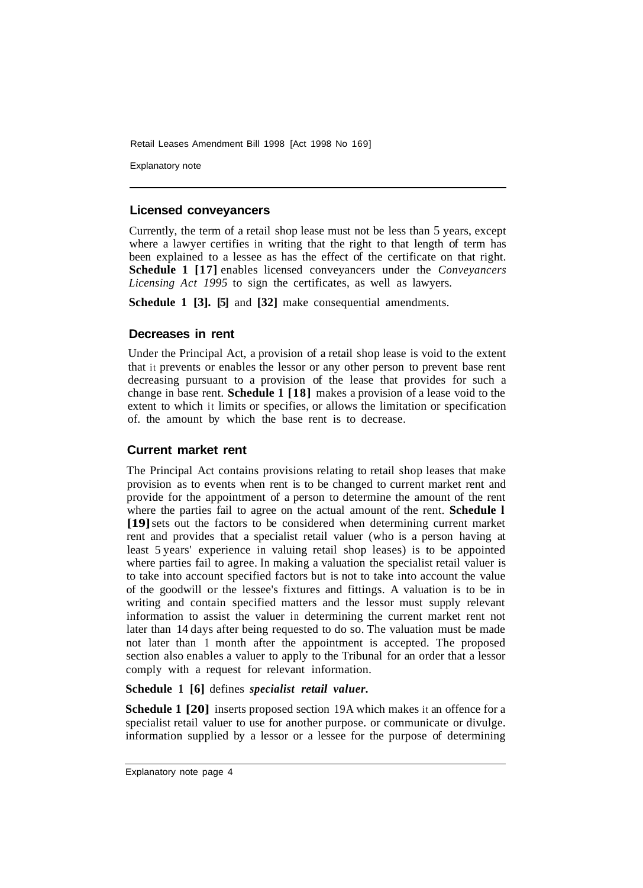Explanatory note

## **Licensed conveyancers**

Currently, the term of a retail shop lease must not be less than 5 years, except where a lawyer certifies in writing that the right to that length of term has been explained to a lessee as has the effect of the certificate on that right. **Schedule 1 [17]** enables licensed conveyancers under the *Conveyancers Licensing Act 1995* to sign the certificates, as well as lawyers.

**Schedule 1 [3]. [5]** and **[32]** make consequential amendments.

## **Decreases in rent**

Under the Principal Act, a provision of a retail shop lease is void to the extent that it prevents or enables the lessor or any other person to prevent base rent decreasing pursuant to a provision of the lease that provides for such a change in base rent. **Schedule 1 [18]** makes a provision of a lease void to the extent to which it limits or specifies, or allows the limitation or specification of. the amount by which the base rent is to decrease.

## **Current market rent**

The Principal Act contains provisions relating to retail shop leases that make provision as to events when rent is to be changed to current market rent and provide for the appointment of a person to determine the amount of the rent where the parties fail to agree on the actual amount of the rent. **Schedule 1 [19]** sets out the factors to be considered when determining current market rent and provides that a specialist retail valuer (who is a person having at least 5 years' experience in valuing retail shop leases) is to be appointed where parties fail to agree. In making a valuation the specialist retail valuer is to take into account specified factors but is not to take into account the value of the goodwill or the lessee's fixtures and fittings. A valuation is to be in writing and contain specified matters and the lessor must supply relevant information to assist the valuer in determining the current market rent not later than 14 days after being requested to do so. The valuation must be made not later than 1 month after the appointment is accepted. The proposed section also enables a valuer to apply to the Tribunal for an order that a lessor comply with a request for relevant information.

#### **Schedule 1 [6]** defines *specialist retail valuer.*

**Schedule 1 [20]** inserts proposed section 19A which makes it an offence for a specialist retail valuer to use for another purpose. or communicate or divulge. information supplied by a lessor or a lessee for the purpose of determining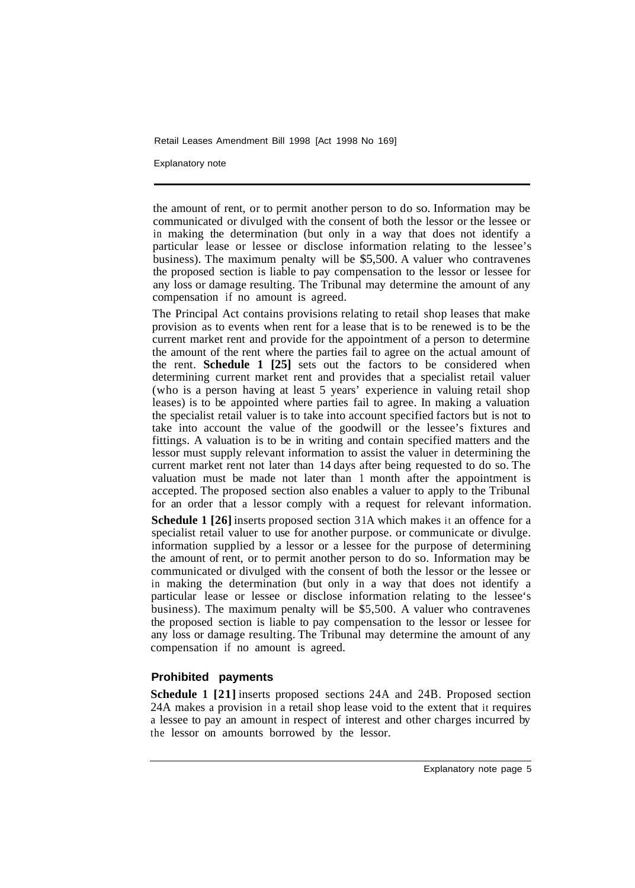Explanatory note

the amount of rent, or to permit another person to do so. Information may be communicated or divulged with the consent of both the lessor or the lessee or in making the determination (but only in a way that does not identify a particular lease or lessee or disclose information relating to the lessee's business). The maximum penalty will be \$5,500. A valuer who contravenes the proposed section is liable to pay compensation to the lessor or lessee for any loss or damage resulting. The Tribunal may determine the amount of any compensation if no amount is agreed.

The Principal Act contains provisions relating to retail shop leases that make provision as to events when rent for a lease that is to be renewed is to be the current market rent and provide for the appointment of a person to determine the amount of the rent where the parties fail to agree on the actual amount of the rent. **Schedule 1 [25]** sets out the factors to be considered when determining current market rent and provides that a specialist retail valuer (who is a person having at least 5 years' experience in valuing retail shop leases) is to be appointed where parties fail to agree. In making a valuation the specialist retail valuer is to take into account specified factors but is not to take into account the value of the goodwill or the lessee's fixtures and fittings. A valuation is to be in writing and contain specified matters and the lessor must supply relevant information to assist the valuer in determining the current market rent not later than 14 days after being requested to do so. The valuation must be made not later than 1 month after the appointment is accepted. The proposed section also enables a valuer to apply to the Tribunal for an order that a lessor comply with a request for relevant information.

**Schedule 1 [26]** inserts proposed section 31A which makes it an offence for a specialist retail valuer to use for another purpose. or communicate or divulge. information supplied by a lessor or a lessee for the purpose of determining the amount of rent, or to permit another person to do so. Information may be communicated or divulged with the consent of both the lessor or the lessee or in making the determination (but only in a way that does not identify a particular lease or lessee or disclose information relating to the lessee's business). The maximum penalty will be \$5,500. A valuer who contravenes the proposed section is liable to pay compensation to the lessor or lessee for any loss or damage resulting. The Tribunal may determine the amount of any compensation if no amount is agreed.

## **Prohibited payments**

**Schedule 1 [21]** inserts proposed sections 24A and 24B. Proposed section 24A makes a provision in a retail shop lease void to the extent that it requires a lessee to pay an amount in respect of interest and other charges incurred by the lessor on amounts borrowed by the lessor.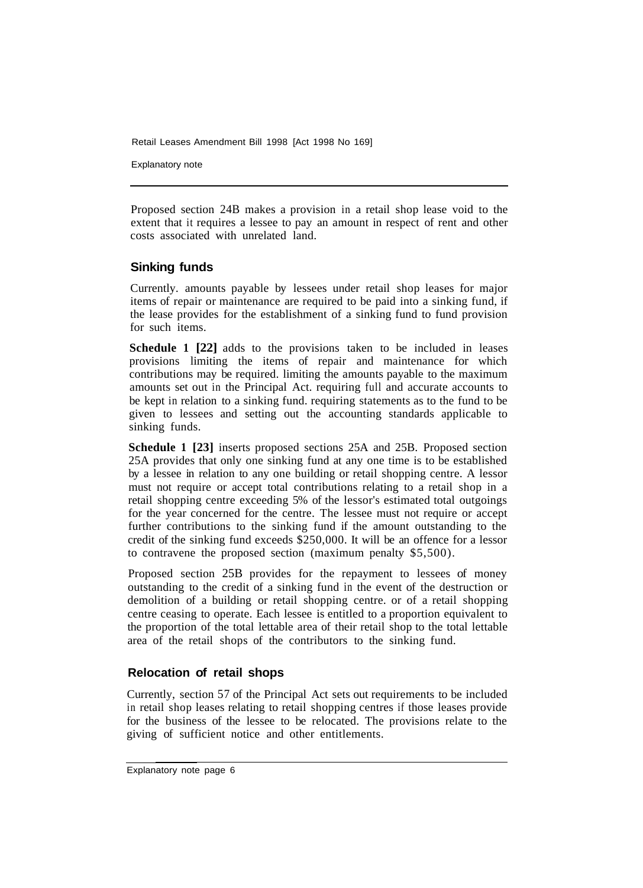Explanatory note

Proposed section 24B makes a provision in a retail shop lease void to the extent that it requires a lessee to pay an amount in respect of rent and other costs associated with unrelated land.

## **Sinking funds**

Currently. amounts payable by lessees under retail shop leases for major items of repair or maintenance are required to be paid into a sinking fund, if the lease provides for the establishment of a sinking fund to fund provision for such items.

**Schedule 1 [22]** adds to the provisions taken to be included in leases provisions limiting the items of repair and maintenance for which contributions may be required. limiting the amounts payable to the maximum amounts set out in the Principal Act. requiring full and accurate accounts to be kept in relation to a sinking fund. requiring statements as to the fund to be given to lessees and setting out the accounting standards applicable to sinking funds.

**Schedule 1 [23]** inserts proposed sections 25A and 25B. Proposed section 25A provides that only one sinking fund at any one time is to be established by a lessee in relation to any one building or retail shopping centre. A lessor must not require or accept total contributions relating to a retail shop in a retail shopping centre exceeding 5% of the lessor's estimated total outgoings for the year concerned for the centre. The lessee must not require or accept further contributions to the sinking fund if the amount outstanding to the credit of the sinking fund exceeds \$250,000. It will be an offence for a lessor to contravene the proposed section (maximum penalty \$5,500).

Proposed section 25B provides for the repayment to lessees of money outstanding to the credit of a sinking fund in the event of the destruction or demolition of a building or retail shopping centre. or of a retail shopping centre ceasing to operate. Each lessee is entitled to a proportion equivalent to the proportion of the total lettable area of their retail shop to the total lettable area of the retail shops of the contributors to the sinking fund.

## **Relocation of retail shops**

Currently, section 57 of the Principal Act sets out requirements to be included in retail shop leases relating to retail shopping centres if those leases provide for the business of the lessee to be relocated. The provisions relate to the giving of sufficient notice and other entitlements.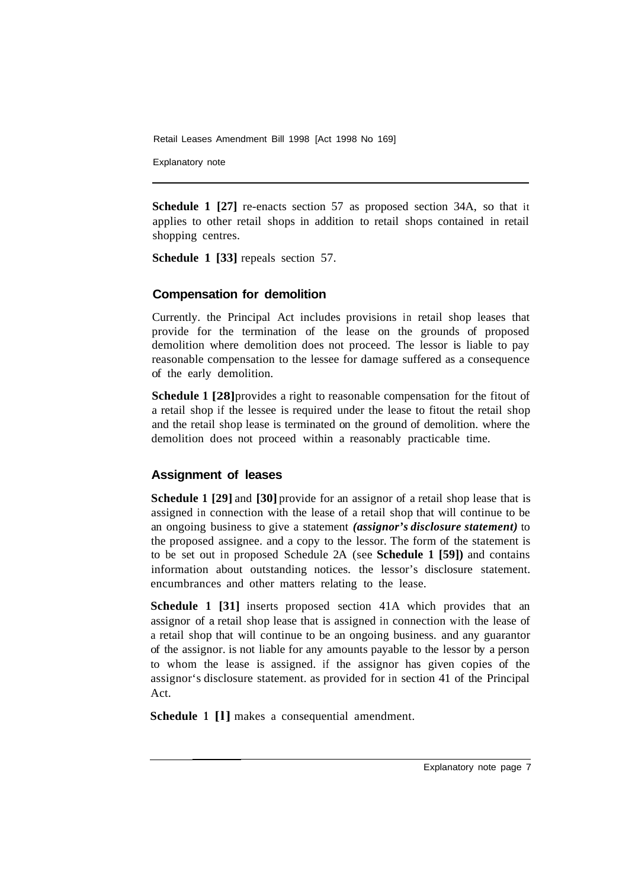Explanatory note

**Schedule 1 [27]** re-enacts section 57 as proposed section 34A, so that it applies to other retail shops in addition to retail shops contained in retail shopping centres.

**Schedule 1 [33]** repeals section 57.

## **Compensation for demolition**

Currently. the Principal Act includes provisions in retail shop leases that provide for the termination of the lease on the grounds of proposed demolition where demolition does not proceed. The lessor is liable to pay reasonable compensation to the lessee for damage suffered as a consequence of the early demolition.

**Schedule 1 [28]** provides a right to reasonable compensation for the fitout of a retail shop if the lessee is required under the lease to fitout the retail shop and the retail shop lease is terminated on the ground of demolition. where the demolition does not proceed within a reasonably practicable time.

## **Assignment of leases**

**Schedule 1 [29]** and **[30]** provide for an assignor of a retail shop lease that is assigned in connection with the lease of a retail shop that will continue to be an ongoing business to give a statement *(assignor's disclosure statement)* to the proposed assignee. and a copy to the lessor. The form of the statement is to be set out in proposed Schedule 2A (see **Schedule 1 [59])** and contains information about outstanding notices. the lessor's disclosure statement. encumbrances and other matters relating to the lease.

**Schedule 1 [31]** inserts proposed section 41A which provides that an assignor of a retail shop lease that is assigned in connection with the lease of a retail shop that will continue to be an ongoing business. and any guarantor of the assignor. is not liable for any amounts payable to the lessor by a person to whom the lease is assigned. if the assignor has given copies of the assignor's disclosure statement. as provided for in section 41 of the Principal Act.

**Schedule 1 [l]** makes a consequential amendment.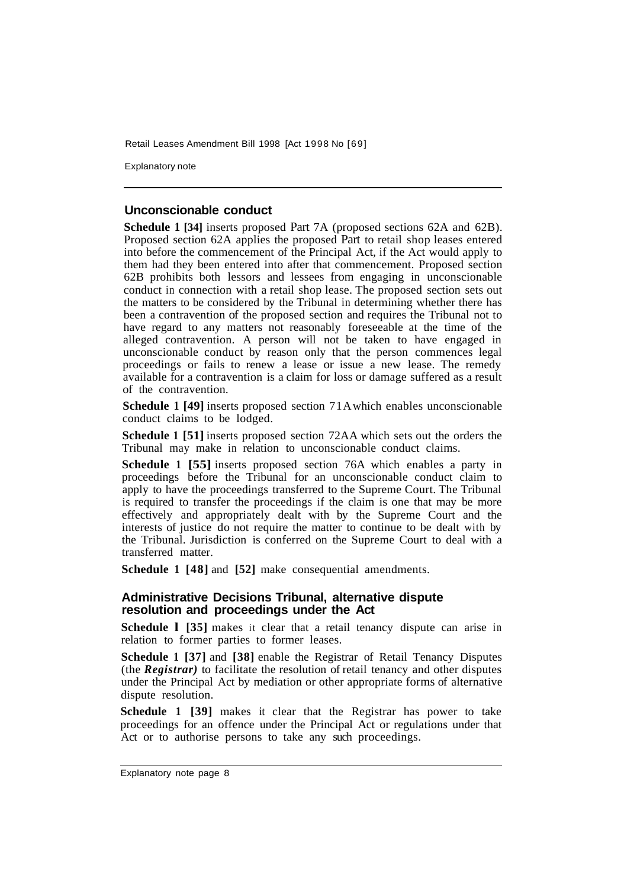Explanatory note

#### **Unconscionable conduct**

**Schedule 1 [34]** inserts proposed Part 7A (proposed sections 62A and 62B). Proposed section 62A applies the proposed Part to retail shop leases entered into before the commencement of the Principal Act, if the Act would apply to them had they been entered into after that commencement. Proposed section 62B prohibits both lessors and lessees from engaging in unconscionable conduct in connection with a retail shop lease. The proposed section sets out the matters to be considered by the Tribunal in determining whether there has been a contravention of the proposed section and requires the Tribunal not to have regard to any matters not reasonably foreseeable at the time of the alleged contravention. A person will not be taken to have engaged in unconscionable conduct by reason only that the person commences legal proceedings or fails to renew a lease or issue a new lease. The remedy available for a contravention is a claim for loss or damage suffered as a result of the contravention.

**Schedule 1 [49]** inserts proposed section 71A which enables unconscionable conduct claims to be lodged.

**Schedule 1 [51]** inserts proposed section 72AA which sets out the orders the Tribunal may make in relation to unconscionable conduct claims.

**Schedule 1 [55]** inserts proposed section 76A which enables a party in proceedings before the Tribunal for an unconscionable conduct claim to apply to have the proceedings transferred to the Supreme Court. The Tribunal is required to transfer the proceedings if the claim is one that may be more effectively and appropriately dealt with by the Supreme Court and the interests of justice do not require the matter to continue to be dealt with by the Tribunal. Jurisdiction is conferred on the Supreme Court to deal with a transferred matter.

**Schedule 1 [48]** and **[52]** make consequential amendments.

#### **Administrative Decisions Tribunal, alternative dispute resolution and proceedings under the Act**

**Schedule I** [35] makes it clear that a retail tenancy dispute can arise in relation to former parties to former leases.

**Schedule 1 [37]** and **[38]** enable the Registrar of Retail Tenancy Disputes (the *Registrar)* to facilitate the resolution of retail tenancy and other disputes under the Principal Act by mediation or other appropriate forms of alternative dispute resolution.

**Schedule 1 [39]** makes it clear that the Registrar has power to take proceedings for an offence under the Principal Act or regulations under that Act or to authorise persons to take any such proceedings.

Explanatory note page 8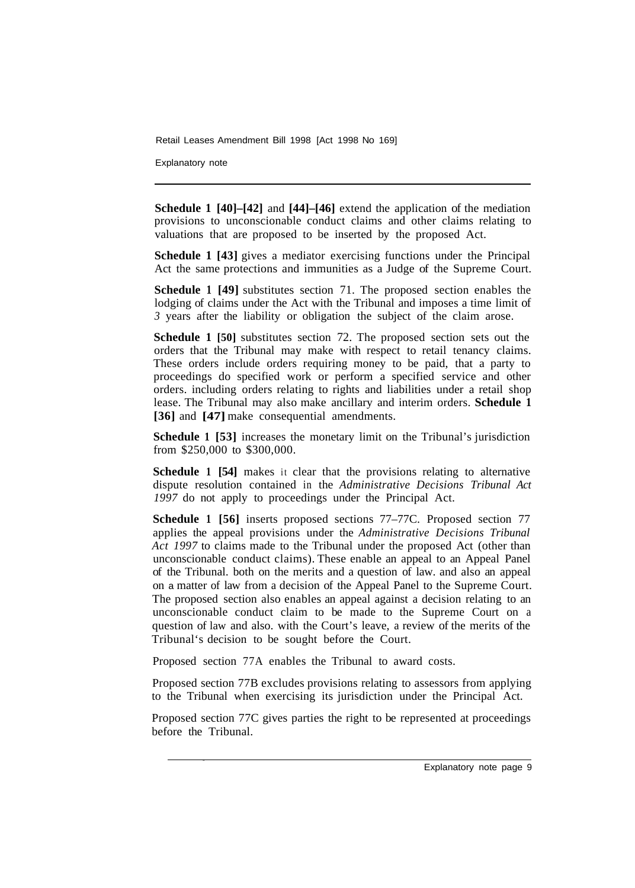Explanatory note

**Schedule 1 [40]–[42]** and **[44]–[46]** extend the application of the mediation provisions to unconscionable conduct claims and other claims relating to valuations that are proposed to be inserted by the proposed Act.

**Schedule 1 [43]** gives a mediator exercising functions under the Principal Act the same protections and immunities as a Judge of the Supreme Court.

**Schedule 1 [49]** substitutes section 71. The proposed section enables the lodging of claims under the Act with the Tribunal and imposes a time limit of *3* years after the liability or obligation the subject of the claim arose.

**Schedule 1 [50]** substitutes section 72. The proposed section sets out the orders that the Tribunal may make with respect to retail tenancy claims. These orders include orders requiring money to be paid, that a party to proceedings do specified work or perform a specified service and other orders. including orders relating to rights and liabilities under a retail shop lease. The Tribunal may also make ancillary and interim orders. **Schedule 1 [36]** and **[47]** make consequential amendments.

**Schedule 1 [53]** increases the monetary limit on the Tribunal's jurisdiction from \$250,000 to \$300,000.

**Schedule 1 [54]** makes it clear that the provisions relating to alternative dispute resolution contained in the *Administrative Decisions Tribunal Act 1997* do not apply to proceedings under the Principal Act.

**Schedule 1 [56]** inserts proposed sections 77–77C. Proposed section 77 applies the appeal provisions under the *Administrative Decisions Tribunal Act 1997* to claims made to the Tribunal under the proposed Act (other than unconscionable conduct claims). These enable an appeal to an Appeal Panel of the Tribunal. both on the merits and a question of law. and also an appeal on a matter of law from a decision of the Appeal Panel to the Supreme Court. The proposed section also enables an appeal against a decision relating to an unconscionable conduct claim to be made to the Supreme Court on a question of law and also. with the Court's leave, a review of the merits of the Tribunal's decision to be sought before the Court.

Proposed section 77A enables the Tribunal to award costs.

Proposed section 77B excludes provisions relating to assessors from applying to the Tribunal when exercising its jurisdiction under the Principal Act.

Proposed section 77C gives parties the right to be represented at proceedings before the Tribunal.